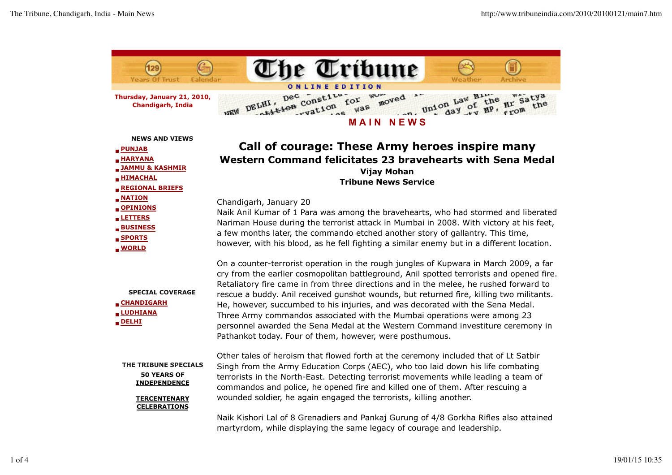

**Thursday, January 21, 2010, Chandigarh, India**

ELHI, pec constitution for womed the law hime are satya moved WO<sub>v</sub> **A** DELHI' was **MEW**  $n_{n}$ 

| <b>NEWS AND VIEWS</b><br>$\blacksquare$ PUNJAB<br><b>HARYANA</b><br>JAMMU & KASHMIR<br><b>HIMACHAL</b><br><b>REGIONAL BRIEFS</b> | Call of courage: These Army heroes inspire many<br>Western Command felicitates 23 bravehearts with Sena Medal<br><b>Vijay Mohan</b><br><b>Tribune News Service</b>                                                                                                                                                                                                                                                                                                                                                                                                                                                                                                                 |
|----------------------------------------------------------------------------------------------------------------------------------|------------------------------------------------------------------------------------------------------------------------------------------------------------------------------------------------------------------------------------------------------------------------------------------------------------------------------------------------------------------------------------------------------------------------------------------------------------------------------------------------------------------------------------------------------------------------------------------------------------------------------------------------------------------------------------|
| <b>NATION</b><br>OPINIONS<br><b>LETTERS</b><br><b>BUSINESS</b><br><b>SPORTS</b><br><b>MORLD</b>                                  | Chandigarh, January 20<br>Naik Anil Kumar of 1 Para was among the bravehearts, who had stormed and liberated<br>Nariman House during the terrorist attack in Mumbai in 2008. With victory at his feet,<br>a few months later, the commando etched another story of gallantry. This time,<br>however, with his blood, as he fell fighting a similar enemy but in a different location.                                                                                                                                                                                                                                                                                              |
| <b>SPECIAL COVERAGE</b><br><b>CHANDIGARH</b><br><b>LUDHIANA</b><br>$\blacksquare$ DELHI                                          | On a counter-terrorist operation in the rough jungles of Kupwara in March 2009, a far<br>cry from the earlier cosmopolitan battleground, Anil spotted terrorists and opened fire.<br>Retaliatory fire came in from three directions and in the melee, he rushed forward to<br>rescue a buddy. Anil received gunshot wounds, but returned fire, killing two militants.<br>He, however, succumbed to his injuries, and was decorated with the Sena Medal.<br>Three Army commandos associated with the Mumbai operations were among 23<br>personnel awarded the Sena Medal at the Western Command investiture ceremony in<br>Pathankot today. Four of them, however, were posthumous. |
| THE TRIBUNE SPECIALS<br><b>50 YEARS OF</b><br><b>INDEPENDENCE</b><br><b>TERCENTENARY</b><br><b>CELEBRATIONS</b>                  | Other tales of heroism that flowed forth at the ceremony included that of Lt Satbir<br>Singh from the Army Education Corps (AEC), who too laid down his life combating<br>terrorists in the North-East. Detecting terrorist movements while leading a team of<br>commandos and police, he opened fire and killed one of them. After rescuing a<br>wounded soldier, he again engaged the terrorists, killing another.                                                                                                                                                                                                                                                               |
|                                                                                                                                  | $N=2$ , $R=1$ , $R=1$ , $R=0$ . One one of the second Depths 2. One can be $R=4$ to $R=0$ . Different the second second                                                                                                                                                                                                                                                                                                                                                                                                                                                                                                                                                            |

Naik Kishori Lal of 8 Grenadiers and Pankaj Gurung of 4/8 Gorkha Rifles also attained martyrdom, while displaying the same legacy of courage and leadership.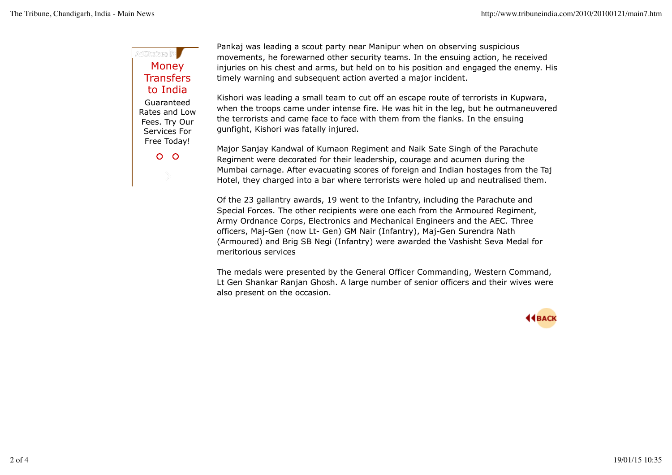## AdChrises (**B** Money **Transfers** to India Guaranteed Rates and Low Fees. Try Our Services For Free Today!

 $O$   $O$ 

Pankaj was leading a scout party near Manipur when on observing suspicious movements, he forewarned other security teams. In the ensuing action, he received injuries on his chest and arms, but held on to his position and engaged the enemy. His timely warning and subsequent action averted a major incident.

Kishori was leading a small team to cut off an escape route of terrorists in Kupwara, when the troops came under intense fire. He was hit in the leg, but he outmaneuvered the terrorists and came face to face with them from the flanks. In the ensuing gunfight, Kishori was fatally injured.

Major Sanjay Kandwal of Kumaon Regiment and Naik Sate Singh of the Parachute Regiment were decorated for their leadership, courage and acumen during the Mumbai carnage. After evacuating scores of foreign and Indian hostages from the Taj Hotel, they charged into a bar where terrorists were holed up and neutralised them.

Of the 23 gallantry awards, 19 went to the Infantry, including the Parachute and Special Forces. The other recipients were one each from the Armoured Regiment, Army Ordnance Corps, Electronics and Mechanical Engineers and the AEC. Three officers, Maj-Gen (now Lt- Gen) GM Nair (Infantry), Maj-Gen Surendra Nath (Armoured) and Brig SB Negi (Infantry) were awarded the Vashisht Seva Medal for meritorious services

The medals were presented by the General Officer Commanding, Western Command, Lt Gen Shankar Ranjan Ghosh. A large number of senior officers and their wives were also present on the occasion.